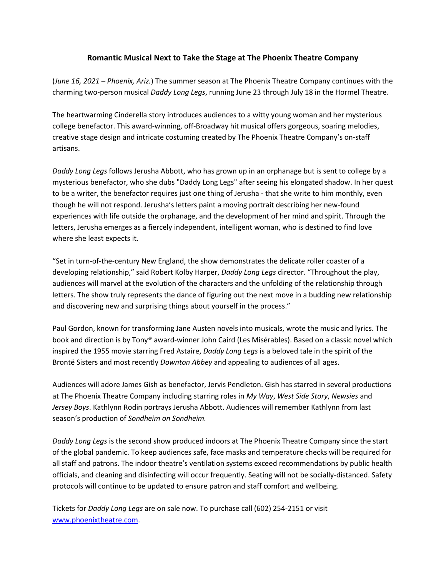## **Romantic Musical Next to Take the Stage at The Phoenix Theatre Company**

(*June 16, 2021 – Phoenix, Ariz.*) The summer season at The Phoenix Theatre Company continues with the charming two-person musical *Daddy Long Legs*, running June 23 through July 18 in the Hormel Theatre.

The heartwarming Cinderella story introduces audiences to a witty young woman and her mysterious college benefactor. This award-winning, off-Broadway hit musical offers gorgeous, soaring melodies, creative stage design and intricate costuming created by The Phoenix Theatre Company's on-staff artisans.

*Daddy Long Legs* follows Jerusha Abbott, who has grown up in an orphanage but is sent to college by a mysterious benefactor, who she dubs "Daddy Long Legs" after seeing his elongated shadow. In her quest to be a writer, the benefactor requires just one thing of Jerusha - that she write to him monthly, even though he will not respond. Jerusha's letters paint a moving portrait describing her new-found experiences with life outside the orphanage, and the development of her mind and spirit. Through the letters, Jerusha emerges as a fiercely independent, intelligent woman, who is destined to find love where she least expects it.

"Set in turn-of-the-century New England, the show demonstrates the delicate roller coaster of a developing relationship," said Robert Kolby Harper, *Daddy Long Legs* director. "Throughout the play, audiences will marvel at the evolution of the characters and the unfolding of the relationship through letters. The show truly represents the dance of figuring out the next move in a budding new relationship and discovering new and surprising things about yourself in the process."

Paul Gordon, known for transforming Jane Austen novels into musicals, wrote the music and lyrics. The book and direction is by Tony® award-winner John Caird (Les Misérables). Based on a classic novel which inspired the 1955 movie starring Fred Astaire, *Daddy Long Legs* is a beloved tale in the spirit of the Brontë Sisters and most recently *Downton Abbey* and appealing to audiences of all ages.

Audiences will adore James Gish as benefactor, Jervis Pendleton. Gish has starred in several productions at The Phoenix Theatre Company including starring roles in *My Way*, *West Side Story*, *Newsies* and *Jersey Boys*. Kathlynn Rodin portrays Jerusha Abbott. Audiences will remember Kathlynn from last season's production of *Sondheim on Sondheim.*

*Daddy Long Legs* is the second show produced indoors at The Phoenix Theatre Company since the start of the global pandemic. To keep audiences safe, face masks and temperature checks will be required for all staff and patrons. The indoor theatre's ventilation systems exceed recommendations by public health officials, and cleaning and disinfecting will occur frequently. Seating will not be socially-distanced. Safety protocols will continue to be updated to ensure patron and staff comfort and wellbeing.

Tickets for *Daddy Long Legs* are on sale now. To purchase call (602) 254-2151 or visit [www.phoenixtheatre.com.](http://www.phoenixtheatre.com/)